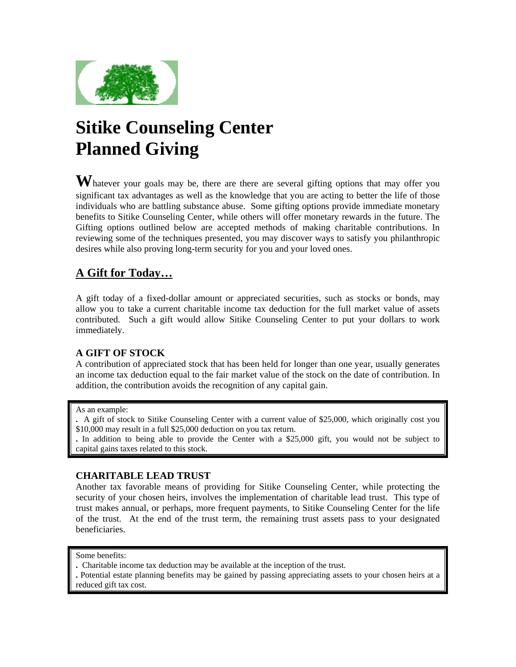

# **Sitike Counseling Center Planned Giving**

Whatever your goals may be, there are there are several gifting options that may offer you significant tax advantages as well as the knowledge that you are acting to better the life of those individuals who are battling substance abuse. Some gifting options provide immediate monetary benefits to Sitike Counseling Center, while others will offer monetary rewards in the future. The Gifting options outlined below are accepted methods of making charitable contributions. In reviewing some of the techniques presented, you may discover ways to satisfy you philanthropic desires while also proving long-term security for you and your loved ones.

# **A Gift for Today…**

A gift today of a fixed-dollar amount or appreciated securities, such as stocks or bonds, may allow you to take a current charitable income tax deduction for the full market value of assets contributed. Such a gift would allow Sitike Counseling Center to put your dollars to work immediately.

### **A GIFT OF STOCK**

A contribution of appreciated stock that has been held for longer than one year, usually generates an income tax deduction equal to the fair market value of the stock on the date of contribution. In addition, the contribution avoids the recognition of any capital gain.

#### As an example:

**.** A gift of stock to Sitike Counseling Center with a current value of \$25,000, which originally cost you \$10,000 may result in a full \$25,000 deduction on you tax return.

**.** In addition to being able to provide the Center with a \$25,000 gift, you would not be subject to capital gains taxes related to this stock.

### **CHARITABLE LEAD TRUST**

Another tax favorable means of providing for Sitike Counseling Center, while protecting the security of your chosen heirs, involves the implementation of charitable lead trust. This type of trust makes annual, or perhaps, more frequent payments, to Sitike Counseling Center for the life of the trust. At the end of the trust term, the remaining trust assets pass to your designated beneficiaries.

- **.** Charitable income tax deduction may be available at the inception of the trust.
- **.** Potential estate planning benefits may be gained by passing appreciating assets to your chosen heirs at a reduced gift tax cost.

Some benefits: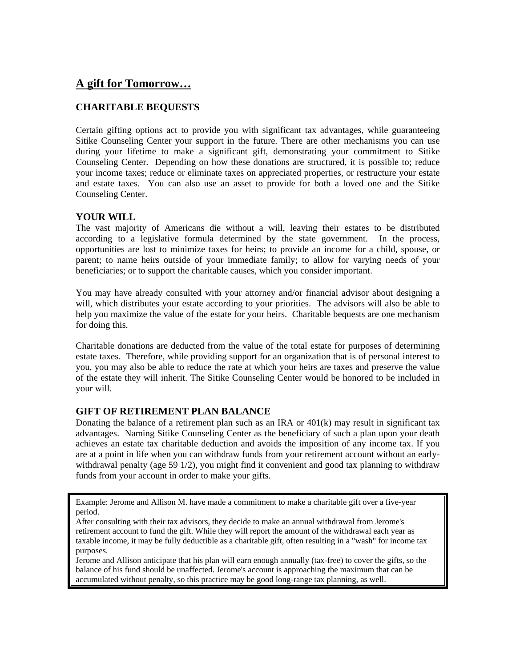# **A gift for Tomorrow…**

# **CHARITABLE BEQUESTS**

Certain gifting options act to provide you with significant tax advantages, while guaranteeing Sitike Counseling Center your support in the future. There are other mechanisms you can use during your lifetime to make a significant gift, demonstrating your commitment to Sitike Counseling Center. Depending on how these donations are structured, it is possible to; reduce your income taxes; reduce or eliminate taxes on appreciated properties, or restructure your estate and estate taxes. You can also use an asset to provide for both a loved one and the Sitike Counseling Center.

#### **YOUR WILL**

The vast majority of Americans die without a will, leaving their estates to be distributed according to a legislative formula determined by the state government. In the process, opportunities are lost to minimize taxes for heirs; to provide an income for a child, spouse, or parent; to name heirs outside of your immediate family; to allow for varying needs of your beneficiaries; or to support the charitable causes, which you consider important.

You may have already consulted with your attorney and/or financial advisor about designing a will, which distributes your estate according to your priorities. The advisors will also be able to help you maximize the value of the estate for your heirs. Charitable bequests are one mechanism for doing this.

Charitable donations are deducted from the value of the total estate for purposes of determining estate taxes. Therefore, while providing support for an organization that is of personal interest to you, you may also be able to reduce the rate at which your heirs are taxes and preserve the value of the estate they will inherit. The Sitike Counseling Center would be honored to be included in your will.

#### **GIFT OF RETIREMENT PLAN BALANCE**

Donating the balance of a retirement plan such as an IRA or  $401(k)$  may result in significant tax advantages. Naming Sitike Counseling Center as the beneficiary of such a plan upon your death achieves an estate tax charitable deduction and avoids the imposition of any income tax. If you are at a point in life when you can withdraw funds from your retirement account without an earlywithdrawal penalty (age 59 1/2), you might find it convenient and good tax planning to withdraw funds from your account in order to make your gifts.

Example: Jerome and Allison M. have made a commitment to make a charitable gift over a five-year period.

After consulting with their tax advisors, they decide to make an annual withdrawal from Jerome's retirement account to fund the gift. While they will report the amount of the withdrawal each year as taxable income, it may be fully deductible as a charitable gift, often resulting in a "wash" for income tax purposes.

Jerome and Allison anticipate that his plan will earn enough annually (tax-free) to cover the gifts, so the balance of his fund should be unaffected. Jerome's account is approaching the maximum that can be accumulated without penalty, so this practice may be good long-range tax planning, as well.